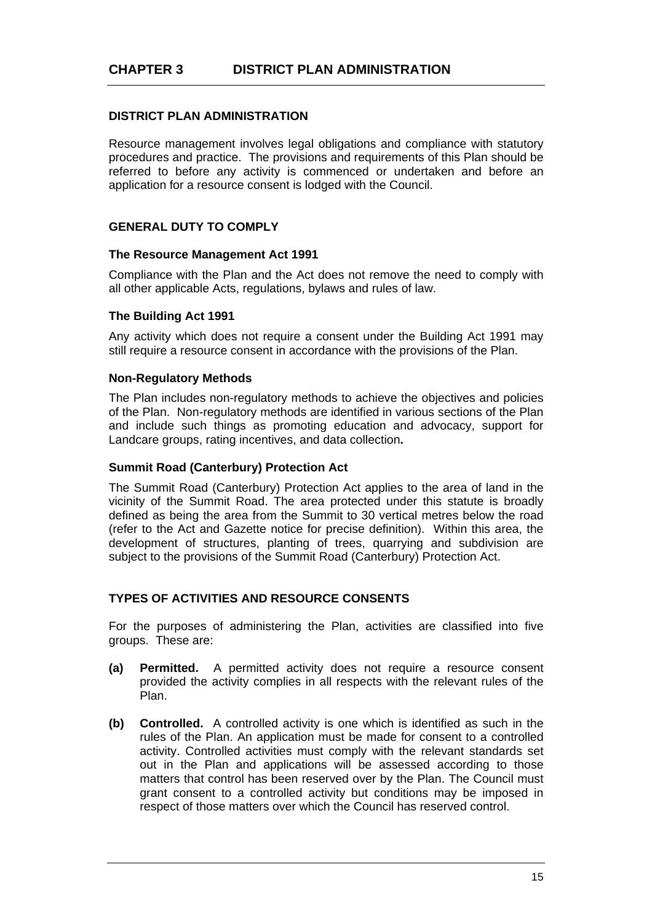# **DISTRICT PLAN ADMINISTRATION**

Resource management involves legal obligations and compliance with statutory procedures and practice. The provisions and requirements of this Plan should be referred to before any activity is commenced or undertaken and before an application for a resource consent is lodged with the Council.

# **GENERAL DUTY TO COMPLY**

#### **The Resource Management Act 1991**

Compliance with the Plan and the Act does not remove the need to comply with all other applicable Acts, regulations, bylaws and rules of law.

# **The Building Act 1991**

Any activity which does not require a consent under the Building Act 1991 may still require a resource consent in accordance with the provisions of the Plan.

#### **Non-Regulatory Methods**

The Plan includes non-regulatory methods to achieve the objectives and policies of the Plan. Non-regulatory methods are identified in various sections of the Plan and include such things as promoting education and advocacy, support for Landcare groups, rating incentives, and data collection**.** 

### **Summit Road (Canterbury) Protection Act**

The Summit Road (Canterbury) Protection Act applies to the area of land in the vicinity of the Summit Road. The area protected under this statute is broadly defined as being the area from the Summit to 30 vertical metres below the road (refer to the Act and Gazette notice for precise definition). Within this area, the development of structures, planting of trees, quarrying and subdivision are subject to the provisions of the Summit Road (Canterbury) Protection Act.

# **TYPES OF ACTIVITIES AND RESOURCE CONSENTS**

For the purposes of administering the Plan, activities are classified into five groups. These are:

- **(a) Permitted.** A permitted activity does not require a resource consent provided the activity complies in all respects with the relevant rules of the Plan.
- **(b) Controlled.** A controlled activity is one which is identified as such in the rules of the Plan. An application must be made for consent to a controlled activity. Controlled activities must comply with the relevant standards set out in the Plan and applications will be assessed according to those matters that control has been reserved over by the Plan. The Council must grant consent to a controlled activity but conditions may be imposed in respect of those matters over which the Council has reserved control.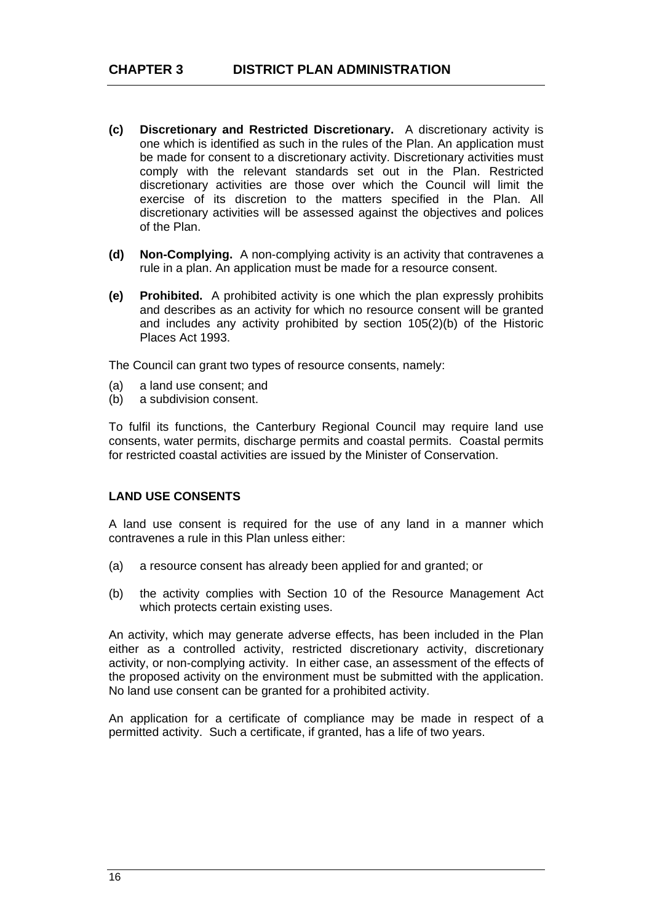- **(c) Discretionary and Restricted Discretionary.** A discretionary activity is one which is identified as such in the rules of the Plan. An application must be made for consent to a discretionary activity. Discretionary activities must comply with the relevant standards set out in the Plan. Restricted discretionary activities are those over which the Council will limit the exercise of its discretion to the matters specified in the Plan. All discretionary activities will be assessed against the objectives and polices of the Plan.
- **(d) Non-Complying.** A non-complying activity is an activity that contravenes a rule in a plan. An application must be made for a resource consent.
- **(e) Prohibited.** A prohibited activity is one which the plan expressly prohibits and describes as an activity for which no resource consent will be granted and includes any activity prohibited by section 105(2)(b) of the Historic Places Act 1993.

The Council can grant two types of resource consents, namely:

- (a) a land use consent; and
- (b) a subdivision consent.

To fulfil its functions, the Canterbury Regional Council may require land use consents, water permits, discharge permits and coastal permits. Coastal permits for restricted coastal activities are issued by the Minister of Conservation.

# **LAND USE CONSENTS**

A land use consent is required for the use of any land in a manner which contravenes a rule in this Plan unless either:

- (a) a resource consent has already been applied for and granted; or
- (b) the activity complies with Section 10 of the Resource Management Act which protects certain existing uses.

An activity, which may generate adverse effects, has been included in the Plan either as a controlled activity, restricted discretionary activity, discretionary activity, or non-complying activity. In either case, an assessment of the effects of the proposed activity on the environment must be submitted with the application. No land use consent can be granted for a prohibited activity.

An application for a certificate of compliance may be made in respect of a permitted activity. Such a certificate, if granted, has a life of two years.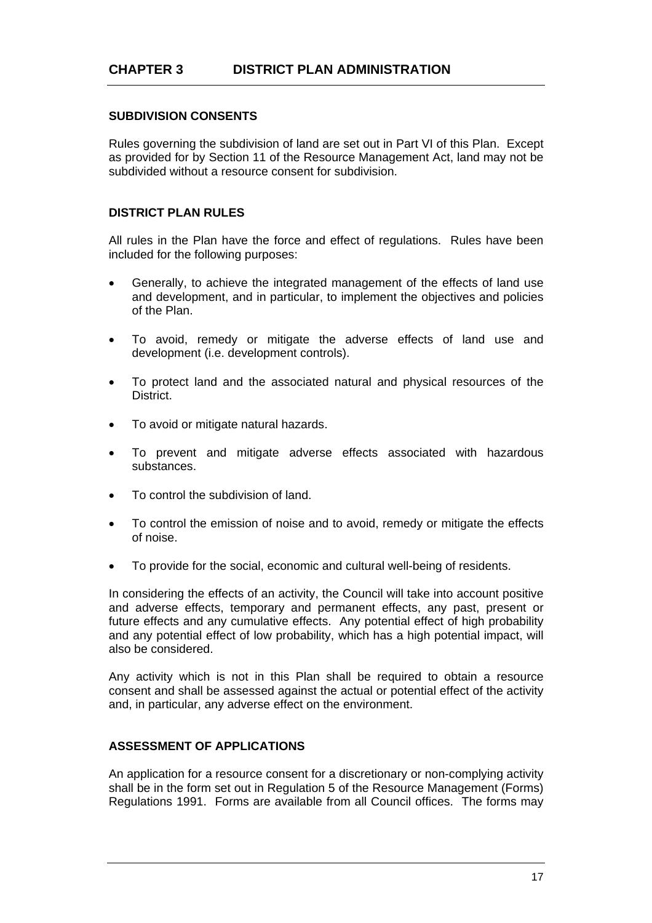# **SUBDIVISION CONSENTS**

Rules governing the subdivision of land are set out in Part VI of this Plan. Except as provided for by Section 11 of the Resource Management Act, land may not be subdivided without a resource consent for subdivision.

# **DISTRICT PLAN RULES**

All rules in the Plan have the force and effect of regulations. Rules have been included for the following purposes:

- Generally, to achieve the integrated management of the effects of land use and development, and in particular, to implement the objectives and policies of the Plan.
- To avoid, remedy or mitigate the adverse effects of land use and development (i.e. development controls).
- To protect land and the associated natural and physical resources of the District.
- To avoid or mitigate natural hazards.
- To prevent and mitigate adverse effects associated with hazardous substances.
- To control the subdivision of land.
- To control the emission of noise and to avoid, remedy or mitigate the effects of noise.
- To provide for the social, economic and cultural well-being of residents.

In considering the effects of an activity, the Council will take into account positive and adverse effects, temporary and permanent effects, any past, present or future effects and any cumulative effects. Any potential effect of high probability and any potential effect of low probability, which has a high potential impact, will also be considered.

Any activity which is not in this Plan shall be required to obtain a resource consent and shall be assessed against the actual or potential effect of the activity and, in particular, any adverse effect on the environment.

# **ASSESSMENT OF APPLICATIONS**

An application for a resource consent for a discretionary or non-complying activity shall be in the form set out in Regulation 5 of the Resource Management (Forms) Regulations 1991. Forms are available from all Council offices. The forms may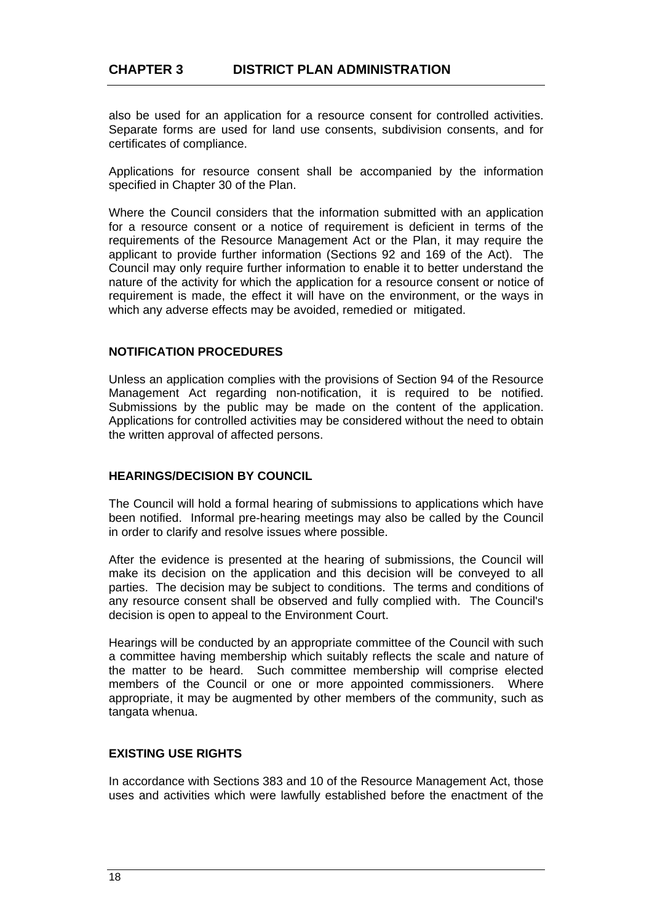also be used for an application for a resource consent for controlled activities. Separate forms are used for land use consents, subdivision consents, and for certificates of compliance.

Applications for resource consent shall be accompanied by the information specified in Chapter 30 of the Plan.

Where the Council considers that the information submitted with an application for a resource consent or a notice of requirement is deficient in terms of the requirements of the Resource Management Act or the Plan, it may require the applicant to provide further information (Sections 92 and 169 of the Act). The Council may only require further information to enable it to better understand the nature of the activity for which the application for a resource consent or notice of requirement is made, the effect it will have on the environment, or the ways in which any adverse effects may be avoided, remedied or mitigated.

#### **NOTIFICATION PROCEDURES**

Unless an application complies with the provisions of Section 94 of the Resource Management Act regarding non-notification, it is required to be notified. Submissions by the public may be made on the content of the application. Applications for controlled activities may be considered without the need to obtain the written approval of affected persons.

#### **HEARINGS/DECISION BY COUNCIL**

The Council will hold a formal hearing of submissions to applications which have been notified. Informal pre-hearing meetings may also be called by the Council in order to clarify and resolve issues where possible.

After the evidence is presented at the hearing of submissions, the Council will make its decision on the application and this decision will be conveyed to all parties. The decision may be subject to conditions. The terms and conditions of any resource consent shall be observed and fully complied with. The Council's decision is open to appeal to the Environment Court.

Hearings will be conducted by an appropriate committee of the Council with such a committee having membership which suitably reflects the scale and nature of the matter to be heard. Such committee membership will comprise elected members of the Council or one or more appointed commissioners. Where appropriate, it may be augmented by other members of the community, such as tangata whenua.

# **EXISTING USE RIGHTS**

In accordance with Sections 383 and 10 of the Resource Management Act, those uses and activities which were lawfully established before the enactment of the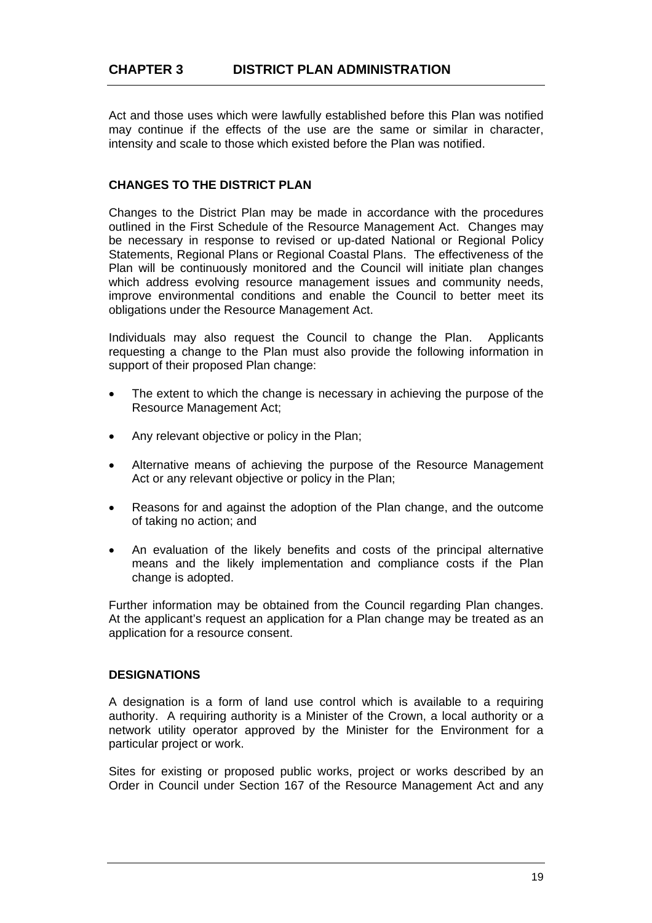Act and those uses which were lawfully established before this Plan was notified may continue if the effects of the use are the same or similar in character, intensity and scale to those which existed before the Plan was notified.

### **CHANGES TO THE DISTRICT PLAN**

Changes to the District Plan may be made in accordance with the procedures outlined in the First Schedule of the Resource Management Act. Changes may be necessary in response to revised or up-dated National or Regional Policy Statements, Regional Plans or Regional Coastal Plans. The effectiveness of the Plan will be continuously monitored and the Council will initiate plan changes which address evolving resource management issues and community needs, improve environmental conditions and enable the Council to better meet its obligations under the Resource Management Act.

Individuals may also request the Council to change the Plan. Applicants requesting a change to the Plan must also provide the following information in support of their proposed Plan change:

- The extent to which the change is necessary in achieving the purpose of the Resource Management Act;
- Any relevant objective or policy in the Plan;
- Alternative means of achieving the purpose of the Resource Management Act or any relevant objective or policy in the Plan;
- Reasons for and against the adoption of the Plan change, and the outcome of taking no action; and
- An evaluation of the likely benefits and costs of the principal alternative means and the likely implementation and compliance costs if the Plan change is adopted.

Further information may be obtained from the Council regarding Plan changes. At the applicant's request an application for a Plan change may be treated as an application for a resource consent.

#### **DESIGNATIONS**

A designation is a form of land use control which is available to a requiring authority. A requiring authority is a Minister of the Crown, a local authority or a network utility operator approved by the Minister for the Environment for a particular project or work.

Sites for existing or proposed public works, project or works described by an Order in Council under Section 167 of the Resource Management Act and any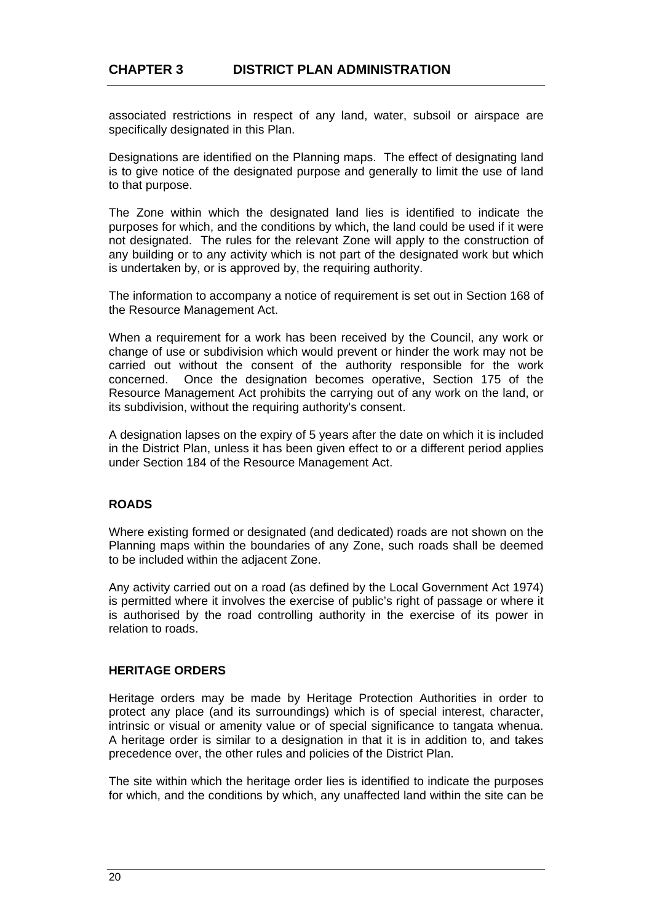associated restrictions in respect of any land, water, subsoil or airspace are specifically designated in this Plan.

Designations are identified on the Planning maps. The effect of designating land is to give notice of the designated purpose and generally to limit the use of land to that purpose.

The Zone within which the designated land lies is identified to indicate the purposes for which, and the conditions by which, the land could be used if it were not designated. The rules for the relevant Zone will apply to the construction of any building or to any activity which is not part of the designated work but which is undertaken by, or is approved by, the requiring authority.

The information to accompany a notice of requirement is set out in Section 168 of the Resource Management Act.

When a requirement for a work has been received by the Council, any work or change of use or subdivision which would prevent or hinder the work may not be carried out without the consent of the authority responsible for the work concerned. Once the designation becomes operative, Section 175 of the Resource Management Act prohibits the carrying out of any work on the land, or its subdivision, without the requiring authority's consent.

A designation lapses on the expiry of 5 years after the date on which it is included in the District Plan, unless it has been given effect to or a different period applies under Section 184 of the Resource Management Act.

# **ROADS**

Where existing formed or designated (and dedicated) roads are not shown on the Planning maps within the boundaries of any Zone, such roads shall be deemed to be included within the adjacent Zone.

Any activity carried out on a road (as defined by the Local Government Act 1974) is permitted where it involves the exercise of public's right of passage or where it is authorised by the road controlling authority in the exercise of its power in relation to roads.

#### **HERITAGE ORDERS**

Heritage orders may be made by Heritage Protection Authorities in order to protect any place (and its surroundings) which is of special interest, character, intrinsic or visual or amenity value or of special significance to tangata whenua. A heritage order is similar to a designation in that it is in addition to, and takes precedence over, the other rules and policies of the District Plan.

The site within which the heritage order lies is identified to indicate the purposes for which, and the conditions by which, any unaffected land within the site can be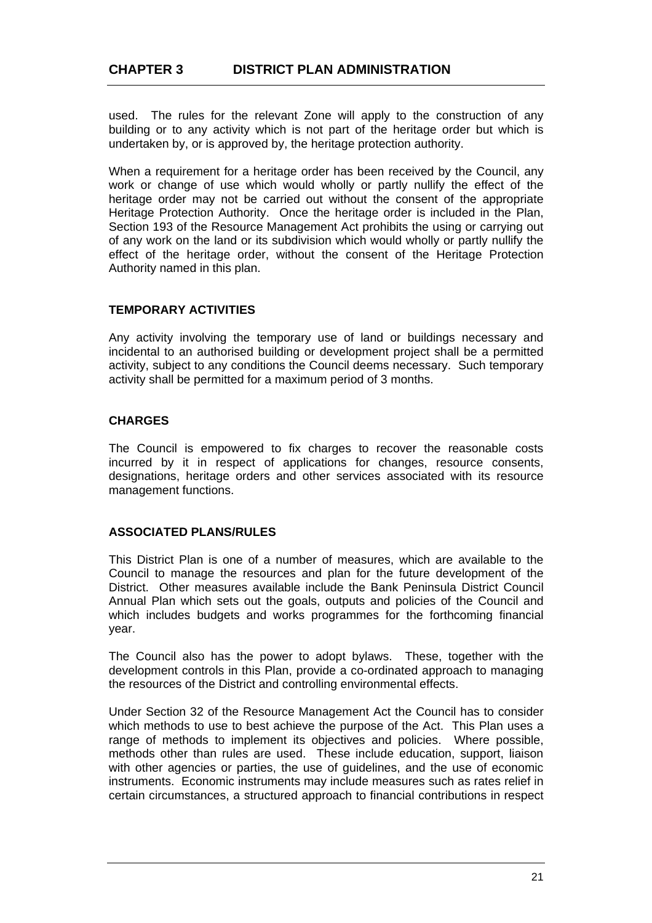used. The rules for the relevant Zone will apply to the construction of any building or to any activity which is not part of the heritage order but which is undertaken by, or is approved by, the heritage protection authority.

When a requirement for a heritage order has been received by the Council, any work or change of use which would wholly or partly nullify the effect of the heritage order may not be carried out without the consent of the appropriate Heritage Protection Authority. Once the heritage order is included in the Plan, Section 193 of the Resource Management Act prohibits the using or carrying out of any work on the land or its subdivision which would wholly or partly nullify the effect of the heritage order, without the consent of the Heritage Protection Authority named in this plan.

# **TEMPORARY ACTIVITIES**

Any activity involving the temporary use of land or buildings necessary and incidental to an authorised building or development project shall be a permitted activity, subject to any conditions the Council deems necessary. Such temporary activity shall be permitted for a maximum period of 3 months.

# **CHARGES**

The Council is empowered to fix charges to recover the reasonable costs incurred by it in respect of applications for changes, resource consents, designations, heritage orders and other services associated with its resource management functions.

# **ASSOCIATED PLANS/RULES**

This District Plan is one of a number of measures, which are available to the Council to manage the resources and plan for the future development of the District. Other measures available include the Bank Peninsula District Council Annual Plan which sets out the goals, outputs and policies of the Council and which includes budgets and works programmes for the forthcoming financial year.

The Council also has the power to adopt bylaws. These, together with the development controls in this Plan, provide a co-ordinated approach to managing the resources of the District and controlling environmental effects.

Under Section 32 of the Resource Management Act the Council has to consider which methods to use to best achieve the purpose of the Act. This Plan uses a range of methods to implement its objectives and policies. Where possible, methods other than rules are used. These include education, support, liaison with other agencies or parties, the use of guidelines, and the use of economic instruments. Economic instruments may include measures such as rates relief in certain circumstances, a structured approach to financial contributions in respect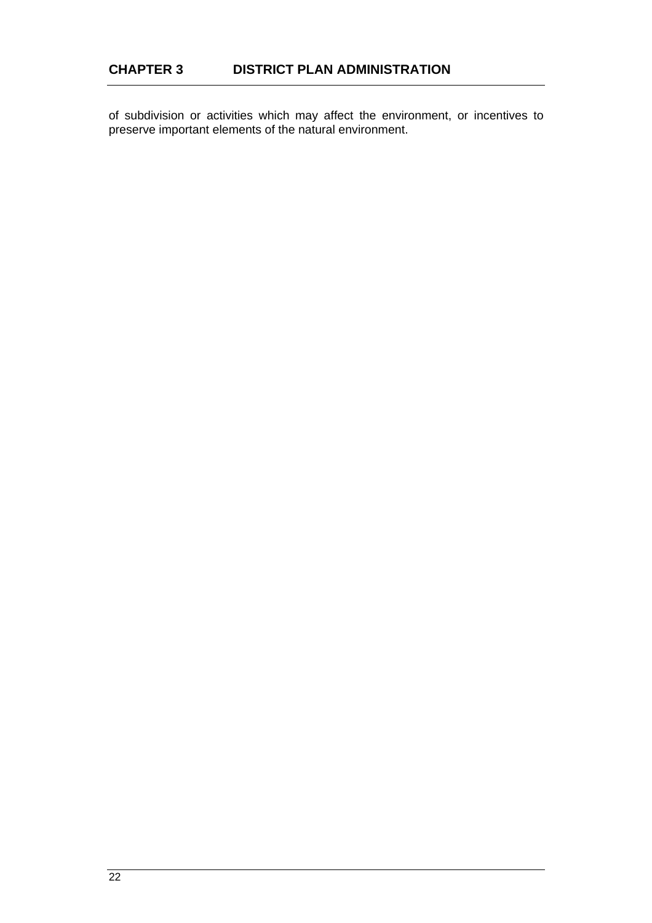of subdivision or activities which may affect the environment, or incentives to preserve important elements of the natural environment.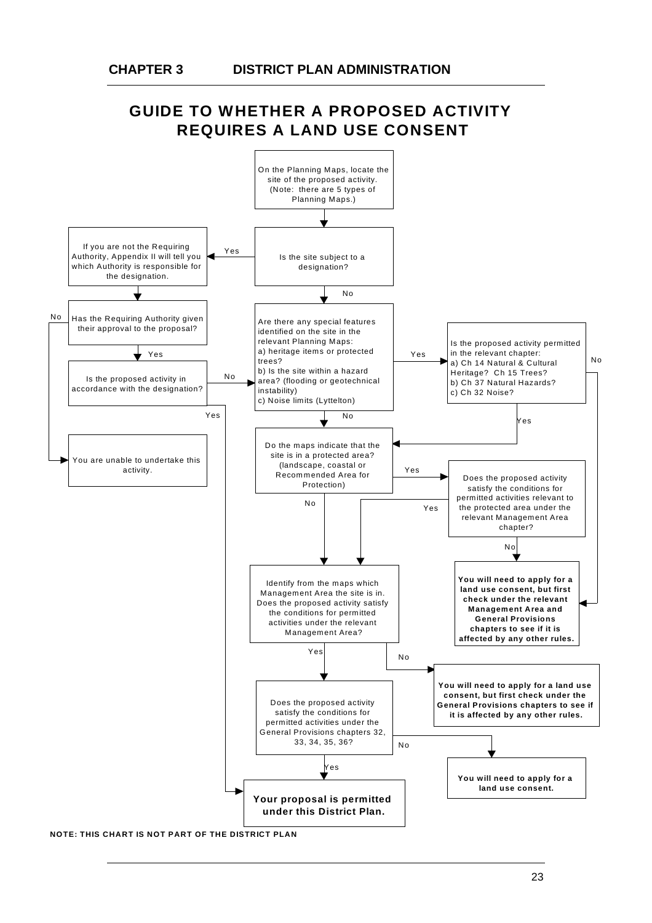# **GUIDE TO WHETHER A PROPOSED ACTIVITY REQUIRES A LAND USE CONSENT**